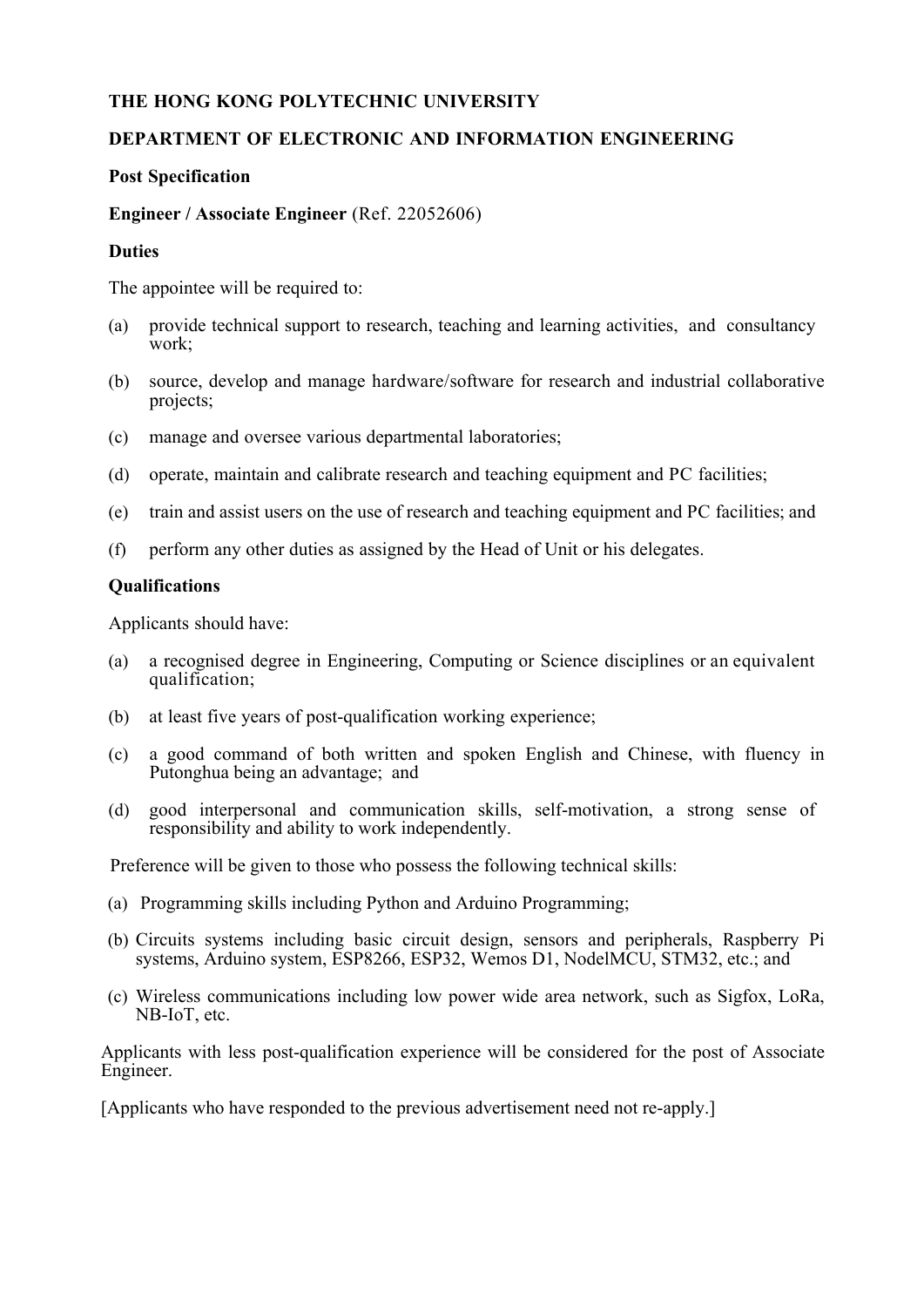# **THE HONG KONG POLYTECHNIC UNIVERSITY**

## **DEPARTMENT OF ELECTRONIC AND INFORMATION ENGINEERING**

### **Post Specification**

#### **Engineer / Associate Engineer** (Ref. 22052606)

#### **Duties**

The appointee will be required to:

- (a) provide technical support to research, teaching and learning activities, and consultancy work;
- (b) source, develop and manage hardware/software for research and industrial collaborative projects;
- (c) manage and oversee various departmental laboratories;
- (d) operate, maintain and calibrate research and teaching equipment and PC facilities;
- (e) train and assist users on the use of research and teaching equipment and PC facilities; and
- (f) perform any other duties as assigned by the Head of Unit or his delegates.

#### **Qualifications**

Applicants should have:

- (a) a recognised degree in Engineering, Computing or Science disciplines or an equivalent qualification;
- (b) at least five years of post-qualification working experience;
- (c) a good command of both written and spoken English and Chinese, with fluency in Putonghua being an advantage; and
- (d) good interpersonal and communication skills, self-motivation, a strong sense of responsibility and ability to work independently.

Preference will be given to those who possess the following technical skills:

- (a) Programming skills including Python and Arduino Programming;
- (b) Circuits systems including basic circuit design, sensors and peripherals, Raspberry Pi systems, Arduino system, ESP8266, ESP32, Wemos D1, NodelMCU, STM32, etc.; and
- (c) Wireless communications including low power wide area network, such as Sigfox, LoRa, NB-IoT, etc.

Applicants with less post-qualification experience will be considered for the post of Associate Engineer.

[Applicants who have responded to the previous advertisement need not re-apply.]